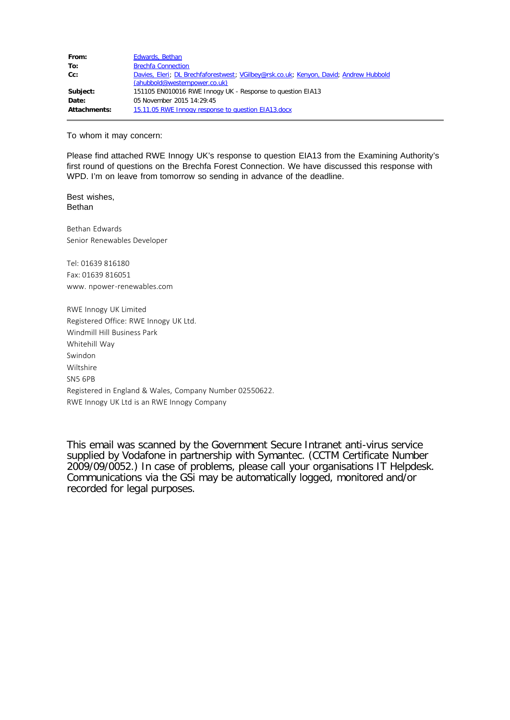| From:        | Edwards, Bethan                                                                                                        |
|--------------|------------------------------------------------------------------------------------------------------------------------|
| To:          | <b>Brechfa Connection</b>                                                                                              |
| $Cc$ :       | Davies, Eleri; DL Brechfaforestwest; VGilbey@rsk.co.uk; Kenyon, David; Andrew Hubbold<br>(ahubbold@westernpower.co.uk) |
| Subject:     | 151105 EN010016 RWE Innogy UK - Response to question EIA13                                                             |
| Date:        | 05 November 2015 14:29:45                                                                                              |
| Attachments: | 15.11.05 RWE Innogy response to question EIA13.docx                                                                    |

To whom it may concern:

Please find attached RWE Innogy UK's response to question EIA13 from the Examining Authority's first round of questions on the Brechfa Forest Connection. We have discussed this response with WPD. I'm on leave from tomorrow so sending in advance of the deadline.

Best wishes, Bethan

Bethan Edwards Senior Renewables Developer

Tel: 01639 816180 Fax: 01639 816051 www. npower-renewables.com

RWE Innogy UK Limited Registered Office: RWE Innogy UK Ltd. Windmill Hill Business Park Whitehill Way Swindon Wiltshire SN5 6PB Registered in England & Wales, Company Number 02550622. RWE Innogy UK Ltd is an RWE Innogy Company

This email was scanned by the Government Secure Intranet anti-virus service supplied by Vodafone in partnership with Symantec. (CCTM Certificate Number 2009/09/0052.) In case of problems, please call your organisations IT Helpdesk. Communications via the GSi may be automatically logged, monitored and/or recorded for legal purposes.